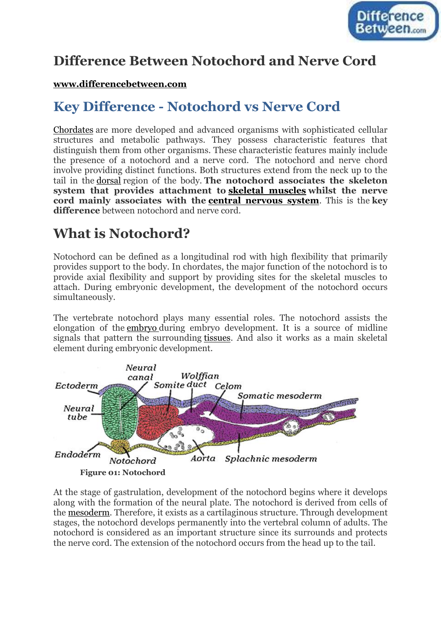

## **Difference Between Notochord and Nerve Cord**

#### **[www.differencebetween.com](http://www.differencebetween.com/)**

## **Key Difference - Notochord vs Nerve Cord**

[Chordates](http://www.differencebetween.com/difference-between-vertebrates-and-vs-chordates/) are more developed and advanced organisms with sophisticated cellular structures and metabolic pathways. They possess characteristic features that distinguish them from other organisms. These characteristic features mainly include the presence of a notochord and a nerve cord. The notochord and nerve chord involve providing distinct functions. Both structures extend from the neck up to the tail in the [dorsal](http://www.differencebetween.com/difference-between-dorsal-and-vs-ventral/) region of the body. **The notochord associates the skeleton system that provides attachment to [skeletal muscles](http://www.differencebetween.com/difference-between-smooth-muscle-and-vs-skeletal-muscle/) whilst the nerve cord mainly associates with the [central nervous system](http://www.differencebetween.com/difference-between-central-and-vs-peripheral-nervous-system/)**. This is the **key difference** between notochord and nerve cord.

# **What is Notochord?**

Notochord can be defined as a longitudinal rod with high flexibility that primarily provides support to the body. In chordates, the major function of the notochord is to provide axial flexibility and support by providing sites for the skeletal muscles to attach. During embryonic development, the development of the notochord occurs simultaneously.

The vertebrate notochord plays many essential roles. The notochord assists the elongation of the [embryo](http://www.differencebetween.com/difference-between-embryo-and-vs-zygote/) during embryo development. It is a source of midline signals that pattern the surrounding [tissues.](http://www.differencebetween.com/difference-between-simple-and-vs-complex-tissue/) And also it works as a main skeletal element during embryonic development.



At the stage of gastrulation, development of the notochord begins where it develops along with the formation of the neural plate. The notochord is derived from cells of the [mesoderm.](http://www.differencebetween.com/difference-between-mesoderm-and-vs-mesenchyme/) Therefore, it exists as a cartilaginous structure. Through development stages, the notochord develops permanently into the vertebral column of adults. The notochord is considered as an important structure since its surrounds and protects the nerve cord. The extension of the notochord occurs from the head up to the tail.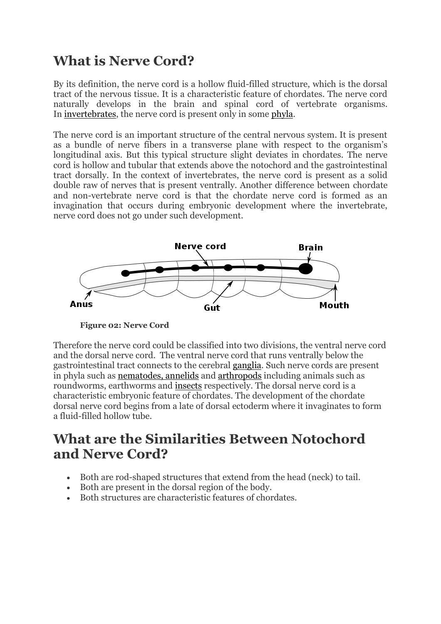## **What is Nerve Cord?**

By its definition, the nerve cord is a hollow fluid-filled structure, which is the dorsal tract of the nervous tissue. It is a characteristic feature of chordates. The nerve cord naturally develops in the brain and spinal cord of vertebrate organisms. In [invertebrates,](http://www.differencebetween.com/difference-between-vertebrates-and-vs-invertebrates/) the nerve cord is present only in some [phyla.](http://www.differencebetween.com/difference-between-phylum-and-vs-class/)

The nerve cord is an important structure of the central nervous system. It is present as a bundle of nerve fibers in a transverse plane with respect to the organism's longitudinal axis. But this typical structure slight deviates in chordates. The nerve cord is hollow and tubular that extends above the notochord and the gastrointestinal tract dorsally. In the context of invertebrates, the nerve cord is present as a solid double raw of nerves that is present ventrally. Another difference between chordate and non-vertebrate nerve cord is that the chordate nerve cord is formed as an invagination that occurs during embryonic development where the invertebrate, nerve cord does not go under such development.



**Figure 02: Nerve Cord**

Therefore the nerve cord could be classified into two divisions, the ventral nerve cord and the dorsal nerve cord. The ventral nerve cord that runs ventrally below the gastrointestinal tract connects to the cerebral [ganglia.](http://www.differencebetween.com/difference-between-ganglia-and-vs-nuclei/) Such nerve cords are present in phyla such as [nematodes, annelids](http://www.differencebetween.com/difference-between-nematodes-and-vs-annelids/) and [arthropods](http://www.differencebetween.com/difference-between-mollusks-and-vs-arthropods/) including animals such as roundworms, earthworms and [insects](http://www.differencebetween.com/difference-between-insects-and-vs-arachnids/) respectively. The dorsal nerve cord is a characteristic embryonic feature of chordates. The development of the chordate dorsal nerve cord begins from a late of dorsal ectoderm where it invaginates to form a fluid-filled hollow tube.

### **What are the Similarities Between Notochord and Nerve Cord?**

- Both are rod-shaped structures that extend from the head (neck) to tail.
- Both are present in the dorsal region of the body.
- Both structures are characteristic features of chordates.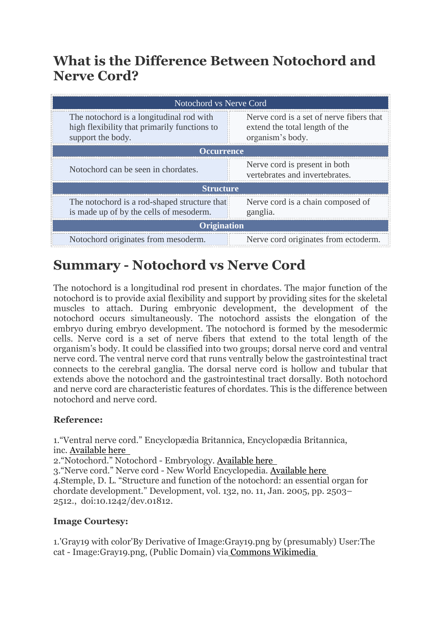### **What is the Difference Between Notochord and Nerve Cord?**

| Notochord vs Nerve Cord                                                                                       |                                                                                                |
|---------------------------------------------------------------------------------------------------------------|------------------------------------------------------------------------------------------------|
| The notochord is a longitudinal rod with<br>high flexibility that primarily functions to<br>support the body. | Nerve cord is a set of nerve fibers that<br>extend the total length of the<br>organism's body. |
| <b>Occurrence</b>                                                                                             |                                                                                                |
| Notochord can be seen in chordates.                                                                           | Nerve cord is present in both<br>vertebrates and invertebrates.                                |
| <b>Structure</b>                                                                                              |                                                                                                |
| The notochord is a rod-shaped structure that<br>is made up of by the cells of mesoderm.                       | Nerve cord is a chain composed of<br>ganglia.                                                  |
| <b>Origination</b>                                                                                            |                                                                                                |
| Notochord originates from mesoderm.                                                                           | Nerve cord originates from ectoderm.                                                           |

# **Summary - Notochord vs Nerve Cord**

The notochord is a longitudinal rod present in chordates. The major function of the notochord is to provide axial flexibility and support by providing sites for the skeletal muscles to attach. During embryonic development, the development of the notochord occurs simultaneously. The notochord assists the elongation of the embryo during embryo development. The notochord is formed by the mesodermic cells. Nerve cord is a set of nerve fibers that extend to the total length of the organism's body. It could be classified into two groups; dorsal nerve cord and ventral nerve cord. The ventral nerve cord that runs ventrally below the gastrointestinal tract connects to the cerebral ganglia. The dorsal nerve cord is hollow and tubular that extends above the notochord and the gastrointestinal tract dorsally. Both notochord and nerve cord are characteristic features of chordates. This is the difference between notochord and nerve cord.

#### **Reference:**

1."Ventral nerve cord." Encyclopædia Britannica, Encyclopædia Britannica, inc. [Available here](http://www.britannica.com/science/ventral-nerve-cord) 2."Notochord." Notochord - Embryology. [Available here](http://embryology.med.unsw.edu.au/embryology/index.php/Notochord) 3."Nerve cord." Nerve cord - New World Encyclopedia. [Available here](http://www.newworldencyclopedia.org/entry/Nerve_cord) 4.Stemple, D. L. "Structure and function of the notochord: an essential organ for chordate development." Development, vol. 132, no. 11, Jan. 2005, pp. 2503– 2512., doi:10.1242/dev.01812.

#### **Image Courtesy:**

1.'Gray19 with color'By Derivative of Image:Gray19.png by (presumably) User:The cat - Image:Gray19.png, (Public Domain) via [Commons Wikimedia](https://commons.wikimedia.org/w/index.php?curid=5041292)